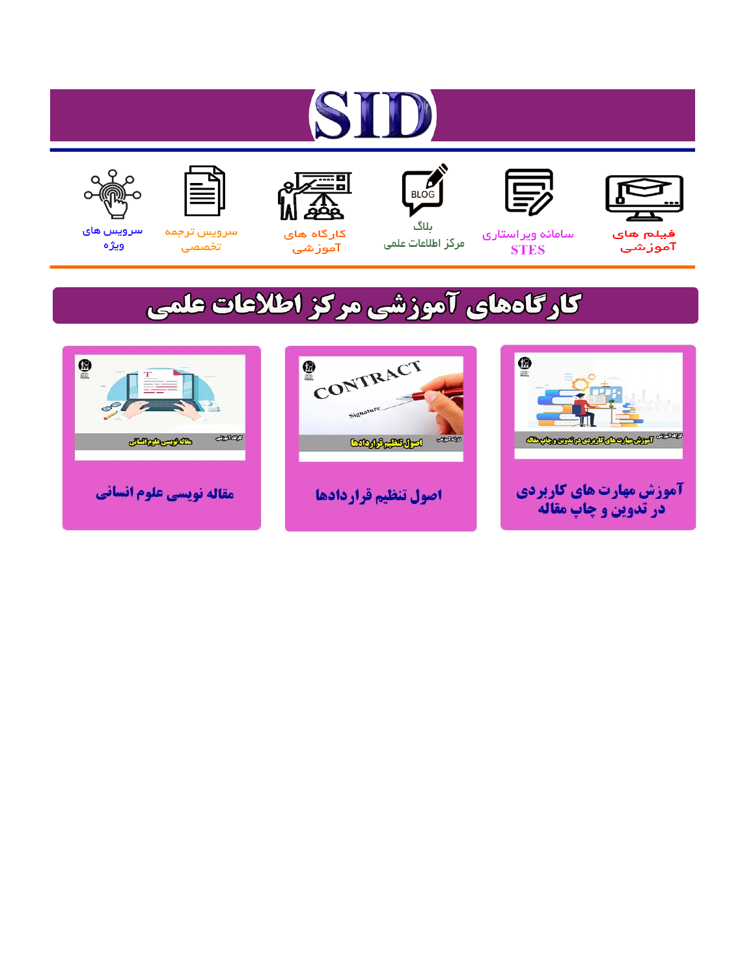# ST











مرکز اطلاعات علمی

 $\frac{1}{\sqrt{\frac{1}{100}}}$ ىلاگ



آموزشي

空

سرويس ترجمه تخصصى



سرویس های ويژه

## كارگاههای آموزشی مركز اطلاعات علمی





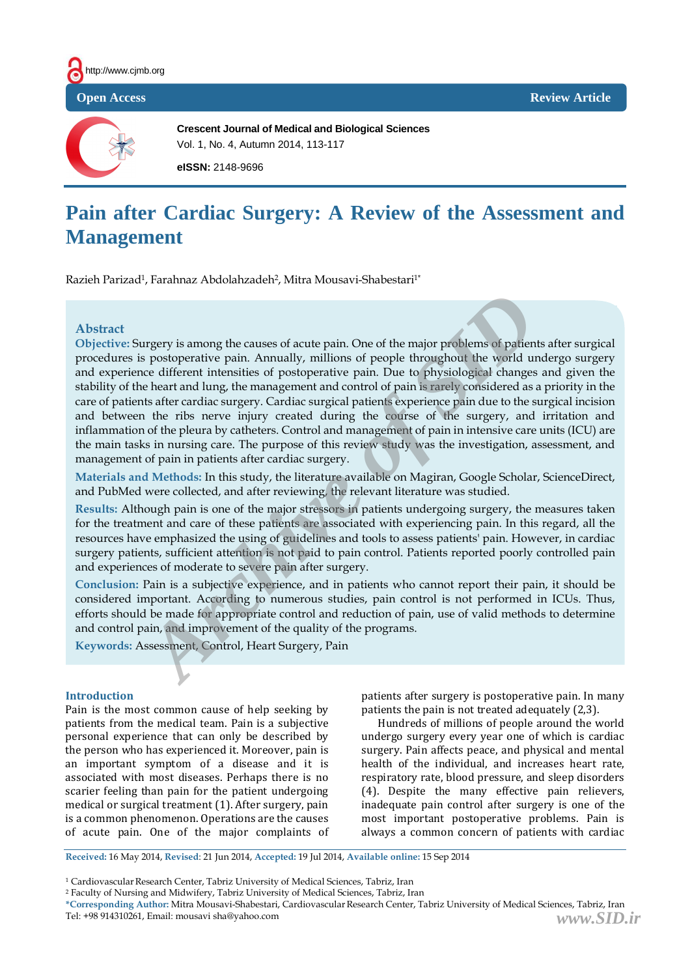



**Crescent Journal of Medical and Biological Sciences** Vol. 1, No. 4, Autumn 2014, 113-117

**eISSN:** 2148-9696

### **Pain after Cardiac Surgery: A Review of the Assessment and Management**

Razieh Parizad<sup>1</sup>, Farahnaz Abdolahzadeh<sup>2</sup>, Mitra Mousavi-Shabestari<sup>1\*</sup>

#### **Abstract**

**Objective:** Surgery is among the causes of acute pain. One of the major problems of patients after surgical procedures is postoperative pain. Annually, millions of people throughout the world undergo surgery and experience different intensities of postoperative pain. Due to physiological changes and given the stability of the heart and lung, the management and control of pain is rarely considered as a priority in the care of patients after cardiac surgery. Cardiac surgical patients experience pain due to the surgical incision and between the ribs nerve injury created during the course of the surgery, and irritation and inflammation of the pleura by catheters. Control and management of pain in intensive care units (ICU) are the main tasks in nursing care. The purpose of this review study was the investigation, assessment, and management of pain in patients after cardiac surgery. argery is among the causes of acute pain. One of the major problems of patien<br>as postoperative pain. Annually, millions of people throughout the world un<br>ce different intensities of postoperative pain. Due to physiological

**Materials and Methods:** In this study, the literature available on Magiran, Google Scholar, ScienceDirect, and PubMed were collected, and after reviewing, the relevant literature was studied.

**Results:** Although pain is one of the major stressors in patients undergoing surgery, the measures taken for the treatment and care of these patients are associated with experiencing pain. In this regard, all the resources have emphasized the using of guidelines and tools to assess patients' pain. However, in cardiac surgery patients, sufficient attention is not paid to pain control. Patients reported poorly controlled pain and experiences of moderate to severe pain after surgery.

**Conclusion:** Pain is a subjective experience, and in patients who cannot report their pain, it should be considered important. According to numerous studies, pain control is not performed in ICUs. Thus, efforts should be made for appropriate control and reduction of pain, use of valid methods to determine and control pain, and improvement of the quality of the programs.

**Keywords:** Assessment, Control, Heart Surgery, Pain

#### **Introduction**

Pain is the most common cause of help seeking by patients from the medical team. Pain is a subjective personal experience that can only be described by the person who has experienced it. Moreover, pain is an important symptom of a disease and it is associated with most diseases. Perhaps there is no scarier feeling than pain for the patient undergoing medical or surgical treatment (1). After surgery, pain is a common phenomenon. Operations are the causes of acute pain. One of the major complaints of patients after surgery is postoperative pain. In many patients the pain is not treated adequately (2,3).

Hundreds of millions of people around the world undergo surgery every year one of which is cardiac surgery. Pain affects peace, and physical and mental health of the individual, and increases heart rate, respiratory rate, blood pressure, and sleep disorders (4). Despite the many effective pain relievers, inadequate pain control after surgery is one of the most important postoperative problems. Pain is always a common concern of patients with cardiac

**Received:** 16 May 2014, **Revised**: 21 Jun 2014, **Accepted:** 19 Jul 2014, **Available online:** 15 Sep 2014

<sup>1</sup> CardiovascularResearch Center, Tabriz University of Medical Sciences, Tabriz, Iran

<sup>2</sup> Faculty of Nursing and Midwifery, Tabriz University of Medical Sciences, Tabriz, Iran

**<sup>\*</sup>Corresponding Author:** Mitra Mousavi-Shabestari, CardiovascularResearch Center, Tabriz University of Medical Sciences, Tabriz, Iran Tel: +98 914310261, Email: mousavi sha@yahoo.com *www.SID.ir*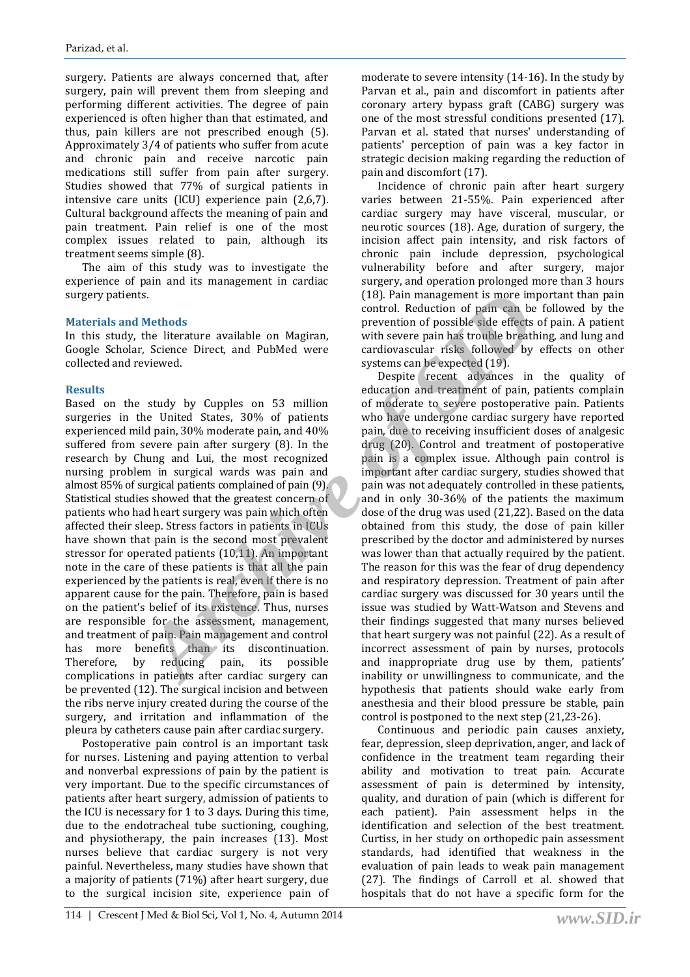surgery. Patients are always concerned that, after surgery, pain will prevent them from sleeping and performing different activities. The degree of pain experienced is often higher than that estimated, and thus, pain killers are not prescribed enough (5). Approximately 3/4 of patients who suffer from acute and chronic pain and receive narcotic pain medications still suffer from pain after surgery. Studies showed that 77% of surgical patients in intensive care units (ICU) experience pain (2,6,7). Cultural background affects the meaning of pain and pain treatment. Pain relief is one of the most complex issues related to pain, although its treatment seems simple (8).

The aim of this study was to investigate the experience of pain and its management in cardiac surgery patients.

#### **Materials and Methods**

In this study, the literature available on Magiran, Google Scholar, Science Direct, and PubMed were collected and reviewed.

#### **Results**

Based on the study by Cupples on 53 million surgeries in the United States, 30% of patients experienced mild pain, 30% moderate pain, and 40% suffered from severe pain after surgery (8). In the research by Chung and Lui, the most recognized nursing problem in surgical wards was pain and almost 85% of surgical patients complained of pain (9). Statistical studies showed that the greatest concern of patients who had heart surgery was pain which often affected their sleep. Stress factors in patients in ICUs have shown that pain is the second most prevalent stressor for operated patients (10,11). An important note in the care of these patients is that all the pain experienced by the patients is real, even if there is no apparent cause for the pain. Therefore, pain is based on the patient's belief of its existence. Thus, nurses are responsible for the assessment, management, and treatment of pain. Pain management and control has more benefits than its discontinuation. Therefore, by reducing pain, its possible complications in patients after cardiac surgery can be prevented (12). The surgical incision and between the ribs nerve injury created during the course of the surgery, and irritation and inflammation of the pleura by catheters cause pain after cardiac surgery. 18). Pain management is more im<br>
the literature available on Magiran,<br>
the literature available on Magiran,<br>
the literature available on Magiran,<br>
the literature pain has troube breath<br>
the literature cardiovance are are a

Postoperative pain control is an important task for nurses. Listening and paying attention to verbal and nonverbal expressions of pain by the patient is very important. Due to the specific circumstances of patients after heart surgery, admission of patients to the ICU is necessary for 1 to 3 days. During this time, due to the endotracheal tube suctioning, coughing, and physiotherapy, the pain increases (13). Most nurses believe that cardiac surgery is not very painful. Nevertheless, many studies have shown that a majority of patients (71%) after heart surgery, due to the surgical incision site, experience pain of moderate to severe intensity (14-16). In the study by Parvan et al., pain and discomfort in patients after coronary artery bypass graft (CABG) surgery was one of the most stressful conditions presented (17). Parvan et al. stated that nurses' understanding of patients' perception of pain was a key factor in strategic decision making regarding the reduction of pain and discomfort (17).

Incidence of chronic pain after heart surgery varies between 21-55%. Pain experienced after cardiac surgery may have visceral, muscular, or neurotic sources (18). Age, duration of surgery, the incision affect pain intensity, and risk factors of chronic pain include depression, psychological vulnerability before and after surgery, major surgery, and operation prolonged more than 3 hours (18). Pain management is more important than pain control. Reduction of pain can be followed by the prevention of possible side effects of pain. A patient with severe pain has trouble breathing, and lung and cardiovascular risks followed by effects on other systems can be expected (19).

Despite recent advances in the quality of education and treatment of pain, patients complain of moderate to severe postoperative pain. Patients who have undergone cardiac surgery have reported pain, due to receiving insufficient doses of analgesic drug (20). Control and treatment of postoperative pain is a complex issue. Although pain control is important after cardiac surgery, studies showed that pain was not adequately controlled in these patients, and in only 30-36% of the patients the maximum dose of the drug was used (21,22). Based on the data obtained from this study, the dose of pain killer prescribed by the doctor and administered by nurses was lower than that actually required by the patient. The reason for this was the fear of drug dependency and respiratory depression. Treatment of pain after cardiac surgery was discussed for 30 years until the issue was studied by Watt-Watson and Stevens and their findings suggested that many nurses believed that heart surgery was not painful (22). As a result of incorrect assessment of pain by nurses, protocols and inappropriate drug use by them, patients' inability or unwillingness to communicate, and the hypothesis that patients should wake early from anesthesia and their blood pressure be stable, pain control is postponed to the next step (21,23-26).

Continuous and periodic pain causes anxiety, fear, depression, sleep deprivation, anger, and lack of confidence in the treatment team regarding their ability and motivation to treat pain. Accurate assessment of pain is determined by intensity, quality, and duration of pain (which is different for each patient). Pain assessment helps in the identification and selection of the best treatment. Curtiss, in her study on orthopedic pain assessment standards, had identified that weakness in the evaluation of pain leads to weak pain management (27). The findings of Carroll et al. showed that hospitals that do not have a specific form for the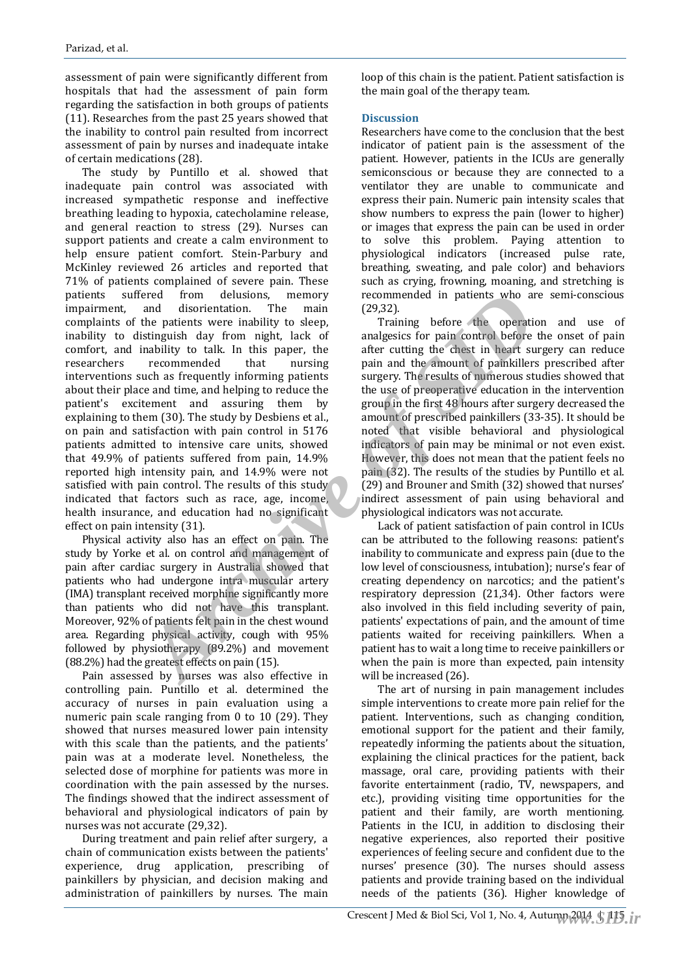assessment of pain were significantly different from hospitals that had the assessment of pain form regarding the satisfaction in both groups of patients (11). Researches from the past 25 years showed that the inability to control pain resulted from incorrect assessment of pain by nurses and inadequate intake of certain medications (28).

The study by Puntillo et al. showed that inadequate pain control was associated with increased sympathetic response and ineffective breathing leading to hypoxia, catecholamine release, and general reaction to stress (29). Nurses can support patients and create a calm environment to help ensure patient comfort. Stein-Parbury and McKinley reviewed 26 articles and reported that 71% of patients complained of severe pain. These patients suffered from delusions, memory impairment, and disorientation. The main complaints of the patients were inability to sleep, inability to distinguish day from night, lack of comfort, and inability to talk. In this paper, the researchers recommended that nursing interventions such as frequently informing patients about their place and time, and helping to reduce the patient's excitement and assuring them by explaining to them (30). The study by Desbiens et al., on pain and satisfaction with pain control in 5176 patients admitted to intensive care units, showed that 49.9% of patients suffered from pain, 14.9% reported high intensity pain, and 14.9% were not satisfied with pain control. The results of this study indicated that factors such as race, age, income, health insurance, and education had no significant effect on pain intensity (31). Freed from delusions, memory recommended in patients who are<br>
and disorientation. The main (29,32).<br>
Archive of the patients were inability to sleep, Training before the operation<br>
intability to talk. In this paper, the an

Physical activity also has an effect on pain. The study by Yorke et al. on control and management of pain after cardiac surgery in Australia showed that patients who had undergone intra muscular artery (IMA) transplant received morphine significantly more than patients who did not have this transplant. Moreover, 92% of patients felt pain in the chest wound area. Regarding physical activity, cough with 95% followed by physiotherapy (89.2%) and movement (88.2%) had the greatest effects on pain (15).

Pain assessed by nurses was also effective in controlling pain. Puntillo et al. determined the accuracy of nurses in pain evaluation using a numeric pain scale ranging from 0 to 10 (29). They showed that nurses measured lower pain intensity with this scale than the patients, and the patients' pain was at a moderate level. Nonetheless, the selected dose of morphine for patients was more in coordination with the pain assessed by the nurses. The findings showed that the indirect assessment of behavioral and physiological indicators of pain by nurses was not accurate (29,32).

During treatment and pain relief after surgery, a chain of communication exists between the patients' experience, drug application, prescribing of painkillers by physician, and decision making and administration of painkillers by nurses. The main

loop of this chain is the patient. Patient satisfaction is the main goal of the therapy team.

#### **Discussion**

Researchers have come to the conclusion that the best indicator of patient pain is the assessment of the patient. However, patients in the ICUs are generally semiconscious or because they are connected to a ventilator they are unable to communicate and express their pain. Numeric pain intensity scales that show numbers to express the pain (lower to higher) or images that express the pain can be used in order to solve this problem. Paying attention to physiological indicators (increased pulse rate, breathing, sweating, and pale color) and behaviors such as crying, frowning, moaning, and stretching is recommended in patients who are semi-conscious (29,32).

Training before the operation and use of analgesics for pain control before the onset of pain after cutting the chest in heart surgery can reduce pain and the amount of painkillers prescribed after surgery. The results of numerous studies showed that the use of preoperative education in the intervention group in the first 48 hours after surgery decreased the amount of prescribed painkillers (33-35). It should be noted that visible behavioral and physiological indicators of pain may be minimal or not even exist. However, this does not mean that the patient feels no pain (32). The results of the studies by Puntillo et al. (29) and Brouner and Smith (32) showed that nurses' indirect assessment of pain using behavioral and physiological indicators was not accurate.

Lack of patient satisfaction of pain control in ICUs can be attributed to the following reasons: patient's inability to communicate and express pain (due to the low level of consciousness, intubation); nurse's fear of creating dependency on narcotics; and the patient's respiratory depression (21,34). Other factors were also involved in this field including severity of pain, patients' expectations of pain, and the amount of time patients waited for receiving painkillers. When a patient has to wait a long time to receive painkillers or when the pain is more than expected, pain intensity will be increased (26).

The art of nursing in pain management includes simple interventions to create more pain relief for the patient. Interventions, such as changing condition, emotional support for the patient and their family, repeatedly informing the patients about the situation, explaining the clinical practices for the patient, back massage, oral care, providing patients with their favorite entertainment (radio, TV, newspapers, and etc.), providing visiting time opportunities for the patient and their family, are worth mentioning. Patients in the ICU, in addition to disclosing their negative experiences, also reported their positive experiences of feeling secure and confident due to the nurses' presence (30). The nurses should assess patients and provide training based on the individual needs of the patients (36). Higher knowledge of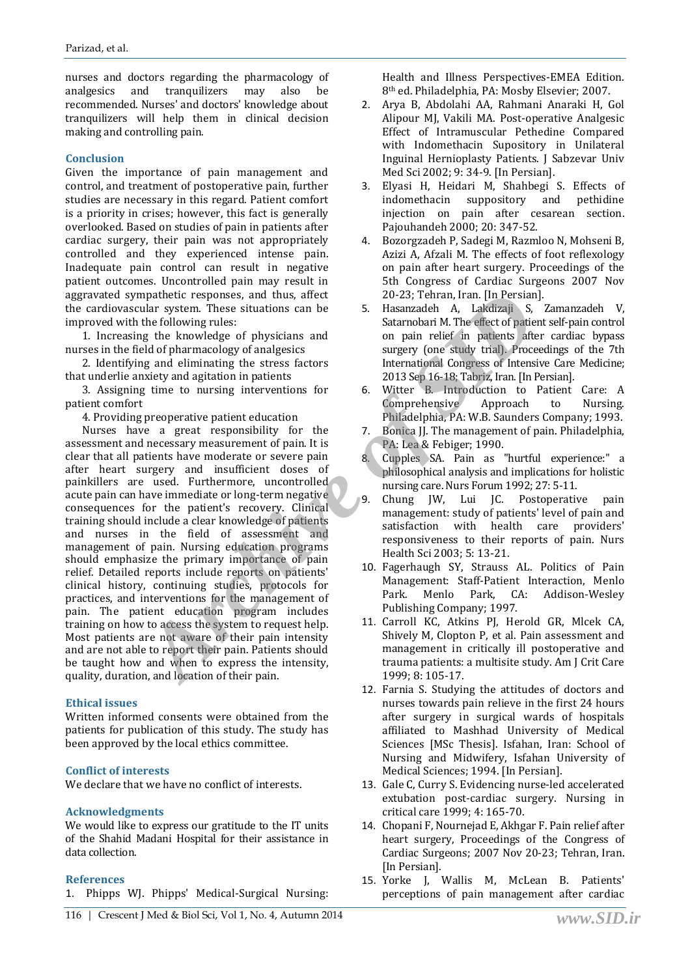nurses and doctors regarding the pharmacology of analgesics and tranquilizers may also be recommended. Nurses' and doctors' knowledge about tranquilizers will help them in clinical decision making and controlling pain.

#### **Conclusion**

Given the importance of pain management and control, and treatment of postoperative pain, further studies are necessary in this regard. Patient comfort is a priority in crises; however, this fact is generally overlooked. Based on studies of pain in patients after cardiac surgery, their pain was not appropriately controlled and they experienced intense pain. Inadequate pain control can result in negative patient outcomes. Uncontrolled pain may result in aggravated sympathetic responses, and thus, affect the cardiovascular system. These situations can be improved with the following rules:

1. Increasing the knowledge of physicians and nurses in the field of pharmacology of analgesics

2. Identifying and eliminating the stress factors that underlie anxiety and agitation in patients

3. Assigning time to nursing interventions for patient comfort

4. Providing preoperative patient education

Nurses have a great responsibility for the assessment and necessary measurement of pain. It is clear that all patients have moderate or severe pain after heart surgery and insufficient doses of painkillers are used. Furthermore, uncontrolled acute pain can have immediate or long-term negative consequences for the patient's recovery. Clinical training should include a clear knowledge of patients and nurses in the field of assessment and management of pain. Nursing education programs should emphasize the primary importance of pain relief. Detailed reports include reports on patients' clinical history, continuing studies, protocols for practices, and interventions for the management of pain. The patient education program includes training on how to access the system to request help. Most patients are not aware of their pain intensity and are not able to report their pain. Patients should be taught how and when to express the intensity, quality, duration, and location of their pain. mathetic responses, and thus, affect<br>
ular system. These situations can be<br>
the following rules:<br>
the following rules:<br>
the following rules:<br>
the following rules:<br>
the following rules:<br>
archive of the state of physicians a

#### **Ethical issues**

Written informed consents were obtained from the patients for publication of this study. The study has been approved by the local ethics committee.

#### **Conflict of interests**

We declare that we have no conflict of interests.

#### **Acknowledgments**

We would like to express our gratitude to the IT units of the Shahid Madani Hospital for their assistance in data collection.

#### **References**

1. Phipps WJ. Phipps' Medical-Surgical Nursing:

Health and Illness Perspectives-EMEA Edition. 8th ed. Philadelphia, PA: Mosby Elsevier; 2007.

- 2. Arya B, Abdolahi AA, Rahmani Anaraki H, Gol Alipour MJ, Vakili MA. Post-operative Analgesic Effect of Intramuscular Pethedine Compared with Indomethacin Supository in Unilateral Inguinal Hernioplasty Patients. J Sabzevar Univ Med Sci 2002; 9: 34-9. [In Persian].
- 3. Elyasi H, Heidari M, Shahbegi S. Effects of indomethacin suppository and pethidine injection on pain after cesarean section. Pajouhandeh 2000; 20: 347-52.
- 4. Bozorgzadeh P, Sadegi M, Razmloo N, Mohseni B, Azizi A, Afzali M. The effects of foot reflexology on pain after heart surgery. Proceedings of the 5th Congress of Cardiac Surgeons 2007 Nov 20-23; Tehran, Iran. [In Persian].
- 5. Hasanzadeh A, Lakdizaji S, Zamanzadeh V, Satarnobari M. The effect of patient self-pain control on pain relief in patients after cardiac bypass surgery (one study trial). Proceedings of the 7th International Congress of Intensive Care Medicine; 2013 Sep 16-18; Tabriz, Iran. [In Persian].
- 6. Witter B. Introduction to Patient Care: A Comprehensive Approach to Nursing. Philadelphia, PA: W.B. Saunders Company; 1993.
- 7. Bonica JJ. The management of pain. Philadelphia, PA: Lea & Febiger; 1990.
- 8. Cupples SA. Pain as "hurtful experience:" a philosophical analysis and implications for holistic nursing care. Nurs Forum 1992; 27: 5-11.
- 9. Chung JW, Lui JC. Postoperative pain management: study of patients' level of pain and satisfaction with health care providers' responsiveness to their reports of pain. Nurs Health Sci 2003; 5: 13-21.
- 10. Fagerhaugh SY, Strauss AL. Politics of Pain Management: Staff-Patient Interaction, Menlo Park. Menlo Park, CA: Addison-Wesley Publishing Company; 1997.
- 11. Carroll KC, Atkins PJ, Herold GR, Mlcek CA, Shively M, Clopton P, et al. Pain assessment and management in critically ill postoperative and trauma patients: a multisite study. Am J Crit Care 1999; 8: 105-17.
- 12. Farnia S. Studying the attitudes of doctors and nurses towards pain relieve in the first 24 hours after surgery in surgical wards of hospitals affiliated to Mashhad University of Medical Sciences [MSc Thesis]. Isfahan, Iran: School of Nursing and Midwifery, Isfahan University of Medical Sciences; 1994. [In Persian].
- 13. Gale C, Curry S. Evidencing nurse-led accelerated extubation post-cardiac surgery. Nursing in critical care 1999; 4: 165-70.
- 14. Chopani F, Nournejad E, Akhgar F. Pain relief after heart surgery, Proceedings of the Congress of Cardiac Surgeons; 2007 Nov 20-23; Tehran, Iran. [In Persian].
- 15. Yorke J, Wallis M, McLean B. Patients' perceptions of pain management after cardiac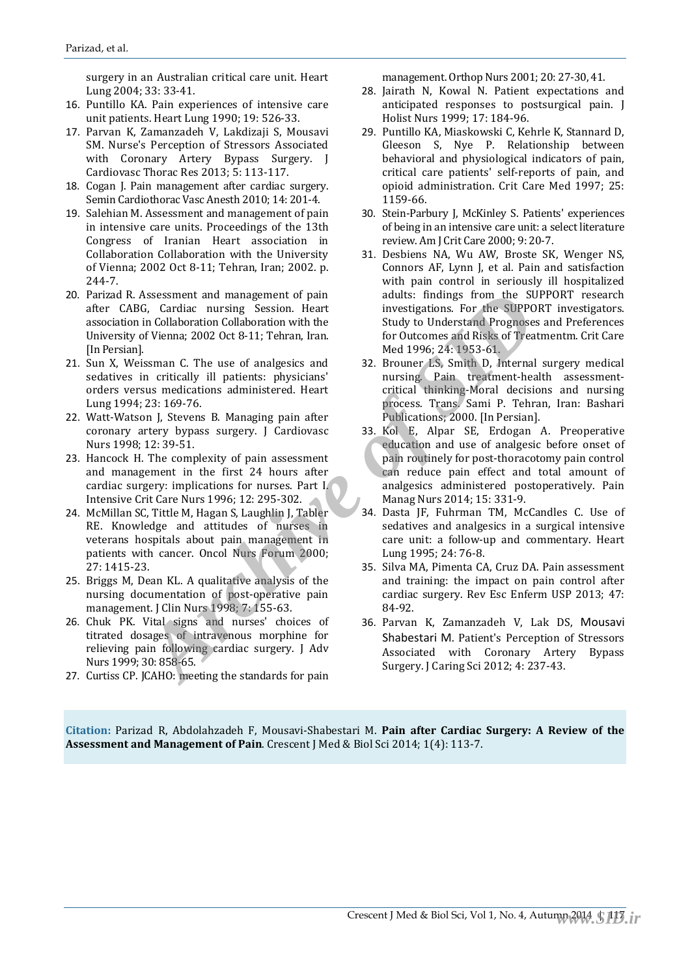surgery in an Australian critical care unit. Heart Lung 2004; 33: 33-41.

- 16. Puntillo KA. Pain experiences of intensive care unit patients. Heart Lung 1990; 19: 526-33.
- 17. Parvan K, Zamanzadeh V, Lakdizaji S, Mousavi SM. Nurse's Perception of Stressors Associated with Coronary Artery Bypass Surgery. J Cardiovasc Thorac Res 2013; 5: 113-117.
- 18. Cogan J. Pain management after cardiac surgery. Semin Cardiothorac Vasc Anesth 2010; 14: 201-4.
- 19. Salehian M. Assessment and management of pain in intensive care units. Proceedings of the 13th Congress of Iranian Heart association in Collaboration Collaboration with the University of Vienna; 2002 Oct 8-11; Tehran, Iran; 2002. p. 244-7.
- 20. Parizad R. Assessment and management of pain after CABG, Cardiac nursing Session. Heart association in Collaboration Collaboration with the University of Vienna; 2002 Oct 8-11; Tehran, Iran. [In Persian].
- 21. Sun X, Weissman C. The use of analgesics and sedatives in critically ill patients: physicians' orders versus medications administered. Heart Lung 1994; 23: 169-76.
- 22. Watt-Watson J, Stevens B. Managing pain after coronary artery bypass surgery. J Cardiovasc Nurs 1998; 12: 39-51.
- 23. Hancock H. The complexity of pain assessment and management in the first 24 hours after cardiac surgery: implications for nurses. Part I. Intensive Crit Care Nurs 1996; 12: 295-302.
- 24. McMillan SC, Tittle M, Hagan S, Laughlin J, Tabler RE. Knowledge and attitudes of nurses in veterans hospitals about pain management in patients with cancer. Oncol Nurs Forum 2000; 27: 1415-23.
- 25. Briggs M, Dean KL. A qualitative analysis of the nursing documentation of post-operative pain management. J Clin Nurs 1998; 7: 155-63.
- 26. Chuk PK. Vital signs and nurses' choices of titrated dosages of intravenous morphine for relieving pain following cardiac surgery. J Adv Nurs 1999; 30: 858-65.
- 27. Curtiss CP. JCAHO: meeting the standards for pain

management. Orthop Nurs 2001; 20: 27-30, 41.

- 28. Jairath N, Kowal N. Patient expectations and anticipated responses to postsurgical pain. J Holist Nurs 1999; 17: 184-96.
- 29. Puntillo KA, Miaskowski C, Kehrle K, Stannard D, Gleeson S, Nye P. Relationship between behavioral and physiological indicators of pain, critical care patients' self-reports of pain, and opioid administration. Crit Care Med 1997; 25: 1159-66.
- 30. Stein-Parbury J, McKinley S. Patients' experiences of being in an intensive care unit: a select literature review. Am J Crit Care 2000; 9: 20-7.
- 31. Desbiens NA, Wu AW, Broste SK, Wenger NS, Connors AF, Lynn J, et al. Pain and satisfaction with pain control in seriously ill hospitalized adults: findings from the SUPPORT research investigations. For the SUPPORT investigators. Study to Understand Prognoses and Preferences for Outcomes and Risks of Treatmentm. Crit Care Med 1996; 24: 1953-61.
- 32. Brouner LS, Smith D, Internal surgery medical nursing. Pain treatment-health assessmentcritical thinking-Moral decisions and nursing process. Trans. Sami P. Tehran, Iran: Bashari Publications; 2000. [In Persian].
- 33. Kol E, Alpar SE, Erdogan A. Preoperative education and use of analgesic before onset of pain routinely for post-thoracotomy pain control can reduce pain effect and total amount of analgesics administered postoperatively. Pain Manag Nurs 2014; 15: 331-9. Assessment and management of pain<br>
adults: findings from the SUC, Cardiac nursing Session. Heat<br>
in Collaboration Collaboration with the Sudy to Understand Prognoses<br>
1. Cord Collaboration with the Sudy to Understand Progn
	- 34. Dasta JF, Fuhrman TM, McCandles C. Use of sedatives and analgesics in a surgical intensive care unit: a follow-up and commentary. Heart Lung 1995; 24: 76-8.
	- 35. Silva MA, Pimenta CA, Cruz DA. Pain assessment and training: the impact on pain control after cardiac surgery. Rev Esc Enferm USP 2013; 47: 84-92.
	- 36. Parvan K, Zamanzadeh V, Lak DS, Mousavi Shabestari M. Patient's Perception of Stressors Associated with Coronary Artery Bypass Surgery. J Caring Sci 2012; 4: 237-43.

**Citation:** Parizad R, Abdolahzadeh F, Mousavi-Shabestari M. **Pain after Cardiac Surgery: A Review of the Assessment and Management of Pain**. Crescent J Med & Biol Sci 2014; 1(4): 113-7.